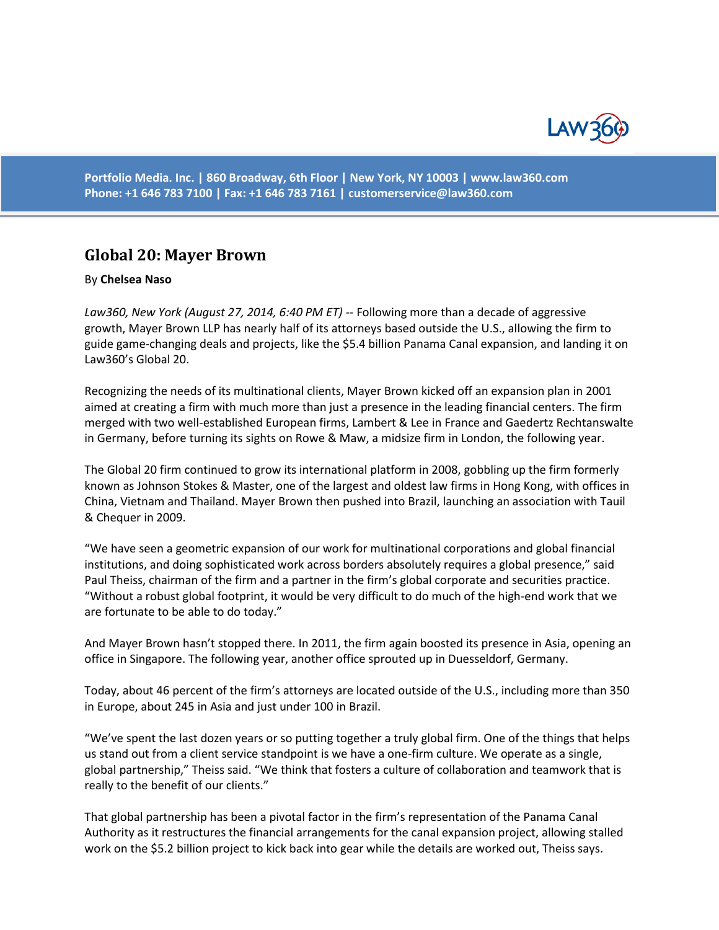

**Portfolio Media. Inc. | 860 Broadway, 6th Floor | New York, NY 10003 | www.law360.com Phone: +1 646 783 7100 | Fax: +1 646 783 7161 | [customerservice@law360.com](mailto:customerservice@law360.com)**

## **Global 20: Mayer Brown**

## By **Chelsea Naso**

*Law360, New York (August 27, 2014, 6:40 PM ET)* -- Following more than a decade of aggressive growth, Mayer Brown LLP has nearly half of its attorneys based outside the U.S., allowing the firm to guide game-changing deals and projects, like the \$5.4 billion Panama Canal expansion, and landing it on Law360's Global 20.

Recognizing the needs of its multinational clients, Mayer Brown kicked off an expansion plan in 2001 aimed at creating a firm with much more than just a presence in the leading financial centers. The firm merged with two well-established European firms, Lambert & Lee in France and Gaedertz Rechtanswalte in Germany, before turning its sights on Rowe & Maw, a midsize firm in London, the following year.

The Global 20 firm continued to grow its international platform in 2008, gobbling up the firm formerly known as Johnson Stokes & Master, one of the largest and oldest law firms in Hong Kong, with offices in China, Vietnam and Thailand. Mayer Brown then pushed into Brazil, launching an association with Tauil & Chequer in 2009.

"We have seen a geometric expansion of our work for multinational corporations and global financial institutions, and doing sophisticated work across borders absolutely requires a global presence," said Paul Theiss, chairman of the firm and a partner in the firm's global corporate and securities practice. "Without a robust global footprint, it would be very difficult to do much of the high-end work that we are fortunate to be able to do today."

And Mayer Brown hasn't stopped there. In 2011, the firm again boosted its presence in Asia, opening an office in Singapore. The following year, another office sprouted up in Duesseldorf, Germany.

Today, about 46 percent of the firm's attorneys are located outside of the U.S., including more than 350 in Europe, about 245 in Asia and just under 100 in Brazil.

"We've spent the last dozen years or so putting together a truly global firm. One of the things that helps us stand out from a client service standpoint is we have a one-firm culture. We operate as a single, global partnership," Theiss said. "We think that fosters a culture of collaboration and teamwork that is really to the benefit of our clients."

That global partnership has been a pivotal factor in the firm's representation of the Panama Canal Authority as it restructures the financial arrangements for the canal expansion project, allowing stalled work on the \$5.2 billion project to kick back into gear while the details are worked out, Theiss says.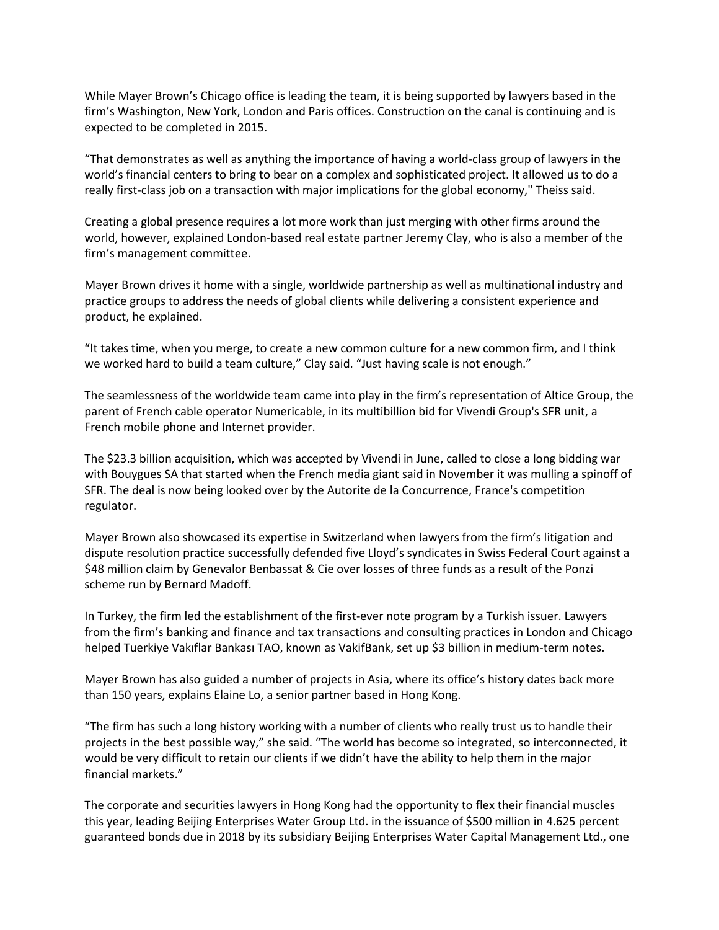While Mayer Brown's Chicago office is leading the team, it is being supported by lawyers based in the firm's Washington, New York, London and Paris offices. Construction on the canal is continuing and is expected to be completed in 2015.

"That demonstrates as well as anything the importance of having a world-class group of lawyers in the world's financial centers to bring to bear on a complex and sophisticated project. It allowed us to do a really first-class job on a transaction with major implications for the global economy," Theiss said.

Creating a global presence requires a lot more work than just merging with other firms around the world, however, explained London-based real estate partner Jeremy Clay, who is also a member of the firm's management committee.

Mayer Brown drives it home with a single, worldwide partnership as well as multinational industry and practice groups to address the needs of global clients while delivering a consistent experience and product, he explained.

"It takes time, when you merge, to create a new common culture for a new common firm, and I think we worked hard to build a team culture," Clay said. "Just having scale is not enough."

The seamlessness of the worldwide team came into play in the firm's representation of Altice Group, the parent of French cable operator Numericable, in its multibillion bid for Vivendi Group's SFR unit, a French mobile phone and Internet provider.

The \$23.3 billion acquisition, which was accepted by Vivendi in June, called to close a long bidding war with Bouygues SA that started when the French media giant said in November it was mulling a spinoff of SFR. The deal is now being looked over by the Autorite de la Concurrence, France's competition regulator.

Mayer Brown also showcased its expertise in Switzerland when lawyers from the firm's litigation and dispute resolution practice successfully defended five Lloyd's syndicates in Swiss Federal Court against a \$48 million claim by Genevalor Benbassat & Cie over losses of three funds as a result of the Ponzi scheme run by Bernard Madoff.

In Turkey, the firm led the establishment of the first-ever note program by a Turkish issuer. Lawyers from the firm's banking and finance and tax transactions and consulting practices in London and Chicago helped Tuerkiye Vakıflar Bankası TAO, known as VakifBank, set up \$3 billion in medium-term notes.

Mayer Brown has also guided a number of projects in Asia, where its office's history dates back more than 150 years, explains Elaine Lo, a senior partner based in Hong Kong.

"The firm has such a long history working with a number of clients who really trust us to handle their projects in the best possible way," she said. "The world has become so integrated, so interconnected, it would be very difficult to retain our clients if we didn't have the ability to help them in the major financial markets."

The corporate and securities lawyers in Hong Kong had the opportunity to flex their financial muscles this year, leading Beijing Enterprises Water Group Ltd. in the issuance of \$500 million in 4.625 percent guaranteed bonds due in 2018 by its subsidiary Beijing Enterprises Water Capital Management Ltd., one